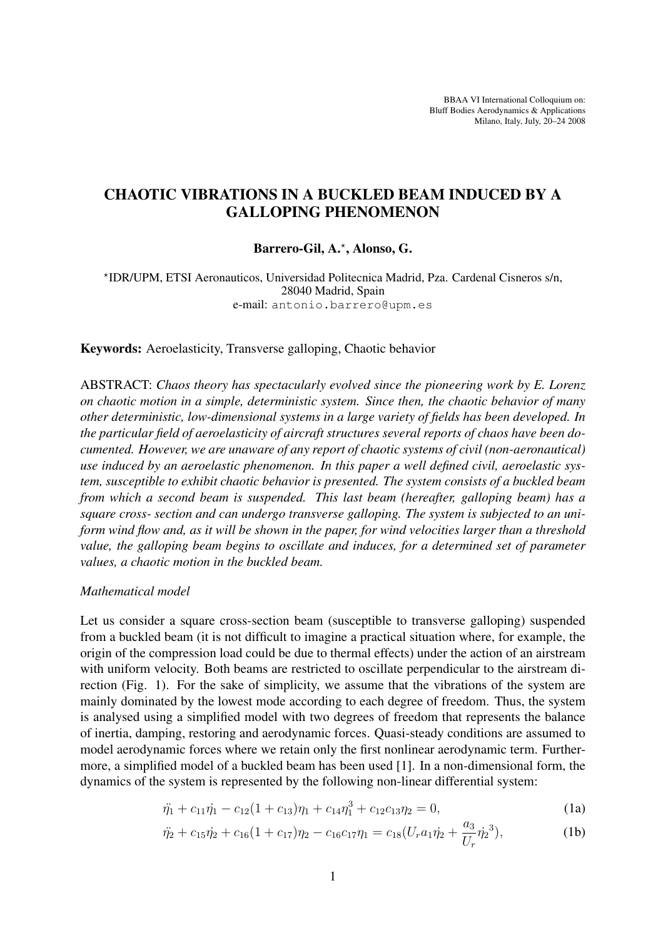BBAA VI International Colloquium on: Bluff Bodies Aerodynamics & Applications Milano, Italy, July, 20–24 2008

# CHAOTIC VIBRATIONS IN A BUCKLED BEAM INDUCED BY A GALLOPING PHENOMENON

## Barrero-Gil, A.? , Alonso, G.

? IDR/UPM, ETSI Aeronauticos, Universidad Politecnica Madrid, Pza. Cardenal Cisneros s/n, 28040 Madrid, Spain e-mail: antonio.barrero@upm.es

Keywords: Aeroelasticity, Transverse galloping, Chaotic behavior

ABSTRACT: *Chaos theory has spectacularly evolved since the pioneering work by E. Lorenz on chaotic motion in a simple, deterministic system. Since then, the chaotic behavior of many other deterministic, low-dimensional systems in a large variety of fields has been developed. In the particular field of aeroelasticity of aircraft structures several reports of chaos have been documented. However, we are unaware of any report of chaotic systems of civil (non-aeronautical) use induced by an aeroelastic phenomenon. In this paper a well defined civil, aeroelastic system, susceptible to exhibit chaotic behavior is presented. The system consists of a buckled beam from which a second beam is suspended. This last beam (hereafter, galloping beam) has a square cross- section and can undergo transverse galloping. The system is subjected to an uniform wind flow and, as it will be shown in the paper, for wind velocities larger than a threshold value, the galloping beam begins to oscillate and induces, for a determined set of parameter values, a chaotic motion in the buckled beam.*

#### *Mathematical model*

Let us consider a square cross-section beam (susceptible to transverse galloping) suspended from a buckled beam (it is not difficult to imagine a practical situation where, for example, the origin of the compression load could be due to thermal effects) under the action of an airstream with uniform velocity. Both beams are restricted to oscillate perpendicular to the airstream direction (Fig. 1). For the sake of simplicity, we assume that the vibrations of the system are mainly dominated by the lowest mode according to each degree of freedom. Thus, the system is analysed using a simplified model with two degrees of freedom that represents the balance of inertia, damping, restoring and aerodynamic forces. Quasi-steady conditions are assumed to model aerodynamic forces where we retain only the first nonlinear aerodynamic term. Furthermore, a simplified model of a buckled beam has been used [1]. In a non-dimensional form, the dynamics of the system is represented by the following non-linear differential system:

$$
\ddot{\eta_1} + c_{11}\dot{\eta_1} - c_{12}(1+c_{13})\eta_1 + c_{14}\eta_1^3 + c_{12}c_{13}\eta_2 = 0, \tag{1a}
$$

$$
\ddot{\eta_2} + c_{15}\dot{\eta_2} + c_{16}(1 + c_{17})\eta_2 - c_{16}c_{17}\eta_1 = c_{18}(U_r a_1 \dot{\eta_2} + \frac{a_3}{U_r} \dot{\eta_2}^3),\tag{1b}
$$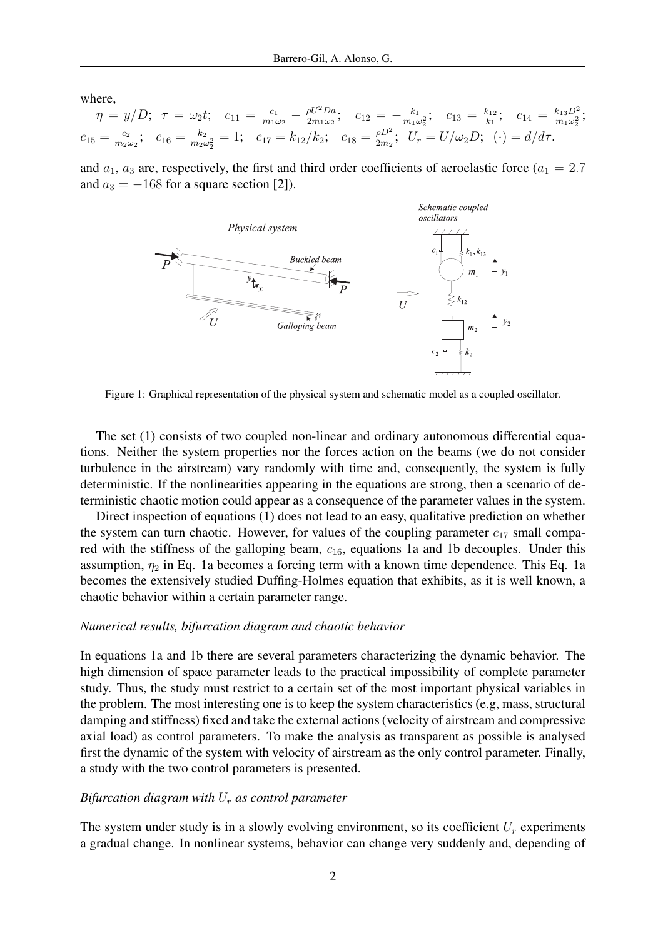where,

$$
\eta = y/D; \quad \tau = \omega_2 t; \quad c_{11} = \frac{c_1}{m_1 \omega_2} - \frac{\rho U^2 D a}{2m_1 \omega_2}; \quad c_{12} = -\frac{k_1}{m_1 \omega_2}; \quad c_{13} = \frac{k_1}{k_1}; \quad c_{14} = \frac{k_{13} D^2}{m_1 \omega_2^2};
$$
\n
$$
c_{15} = \frac{c_2}{m_2 \omega_2}; \quad c_{16} = \frac{k_2}{m_2 \omega_2^2} = 1; \quad c_{17} = k_{12}/k_2; \quad c_{18} = \frac{\rho D^2}{2m_2}; \quad U_r = U/\omega_2 D; \quad (\cdot) = d/d\tau.
$$

and  $a_1$ ,  $a_3$  are, respectively, the first and third order coefficients of aeroelastic force ( $a_1 = 2.7$ ) and  $a_3 = -168$  for a square section [2]).



Figure 1: Graphical representation of the physical system and schematic model as a coupled oscillator.

The set (1) consists of two coupled non-linear and ordinary autonomous differential equations. Neither the system properties nor the forces action on the beams (we do not consider turbulence in the airstream) vary randomly with time and, consequently, the system is fully deterministic. If the nonlinearities appearing in the equations are strong, then a scenario of deterministic chaotic motion could appear as a consequence of the parameter values in the system.

Direct inspection of equations (1) does not lead to an easy, qualitative prediction on whether the system can turn chaotic. However, for values of the coupling parameter  $c_{17}$  small compared with the stiffness of the galloping beam,  $c_{16}$ , equations 1a and 1b decouples. Under this assumption,  $\eta_2$  in Eq. 1a becomes a forcing term with a known time dependence. This Eq. 1a becomes the extensively studied Duffing-Holmes equation that exhibits, as it is well known, a chaotic behavior within a certain parameter range.

#### *Numerical results, bifurcation diagram and chaotic behavior*

In equations 1a and 1b there are several parameters characterizing the dynamic behavior. The high dimension of space parameter leads to the practical impossibility of complete parameter study. Thus, the study must restrict to a certain set of the most important physical variables in the problem. The most interesting one is to keep the system characteristics (e.g, mass, structural damping and stiffness) fixed and take the external actions (velocity of airstream and compressive axial load) as control parameters. To make the analysis as transparent as possible is analysed first the dynamic of the system with velocity of airstream as the only control parameter. Finally, a study with the two control parameters is presented.

## *Bifurcation diagram with* U<sup>r</sup> *as control parameter*

The system under study is in a slowly evolving environment, so its coefficient  $U_r$  experiments a gradual change. In nonlinear systems, behavior can change very suddenly and, depending of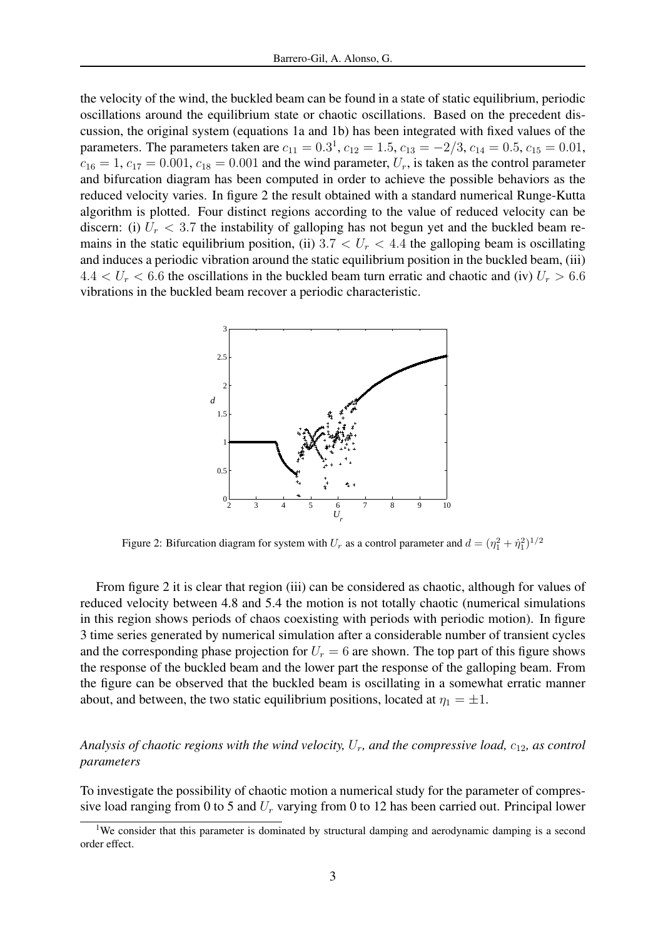the velocity of the wind, the buckled beam can be found in a state of static equilibrium, periodic oscillations around the equilibrium state or chaotic oscillations. Based on the precedent discussion, the original system (equations 1a and 1b) has been integrated with fixed values of the parameters. The parameters taken are  $c_{11} = 0.3^1$ ,  $c_{12} = 1.5$ ,  $c_{13} = -2/3$ ,  $c_{14} = 0.5$ ,  $c_{15} = 0.01$ ,  $c_{16} = 1$ ,  $c_{17} = 0.001$ ,  $c_{18} = 0.001$  and the wind parameter,  $U_r$ , is taken as the control parameter and bifurcation diagram has been computed in order to achieve the possible behaviors as the reduced velocity varies. In figure 2 the result obtained with a standard numerical Runge-Kutta algorithm is plotted. Four distinct regions according to the value of reduced velocity can be discern: (i)  $U_r < 3.7$  the instability of galloping has not begun yet and the buckled beam remains in the static equilibrium position, (ii)  $3.7 < U_r < 4.4$  the galloping beam is oscillating and induces a periodic vibration around the static equilibrium position in the buckled beam, (iii)  $4.4 < U_r < 6.6$  the oscillations in the buckled beam turn erratic and chaotic and (iv)  $U_r > 6.6$ vibrations in the buckled beam recover a periodic characteristic.



Figure 2: Bifurcation diagram for system with  $U_r$  as a control parameter and  $d = (\eta_1^2 + \dot{\eta}_1^2)^{1/2}$ 

From figure 2 it is clear that region (iii) can be considered as chaotic, although for values of reduced velocity between 4.8 and 5.4 the motion is not totally chaotic (numerical simulations in this region shows periods of chaos coexisting with periods with periodic motion). In figure 3 time series generated by numerical simulation after a considerable number of transient cycles and the corresponding phase projection for  $U_r = 6$  are shown. The top part of this figure shows the response of the buckled beam and the lower part the response of the galloping beam. From the figure can be observed that the buckled beam is oscillating in a somewhat erratic manner about, and between, the two static equilibrium positions, located at  $\eta_1 = \pm 1$ .

## *Analysis of chaotic regions with the wind velocity,* Ur*, and the compressive load,* c12*, as control parameters*

To investigate the possibility of chaotic motion a numerical study for the parameter of compressive load ranging from 0 to 5 and  $U_r$  varying from 0 to 12 has been carried out. Principal lower

<sup>&</sup>lt;sup>1</sup>We consider that this parameter is dominated by structural damping and aerodynamic damping is a second order effect.